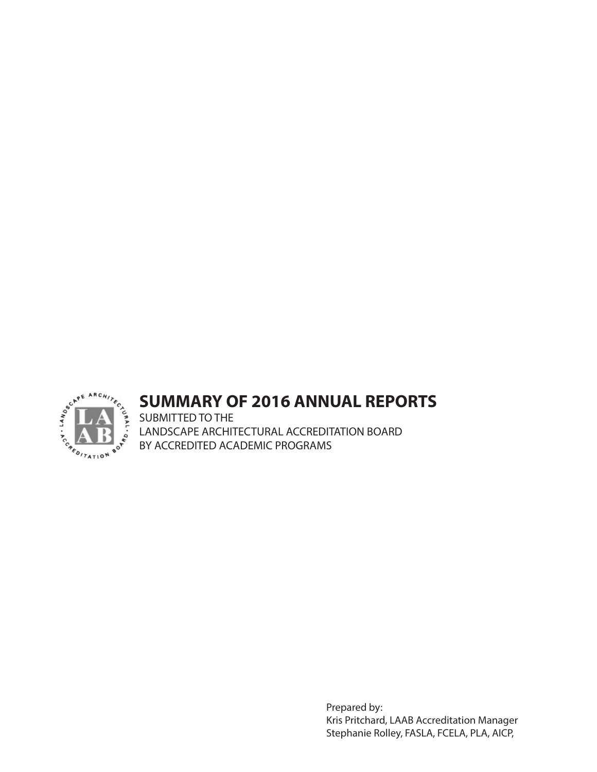

# **SUMMARY OF 2016 ANNUAL REPORTS**

SUBMITTED TO THE LANDSCAPE ARCHITECTURAL ACCREDITATION BOARD BY ACCREDITED ACADEMIC PROGRAMS

> Prepared by: Kris Pritchard, LAAB Accreditation Manager Stephanie Rolley, FASLA, FCELA, PLA, AICP,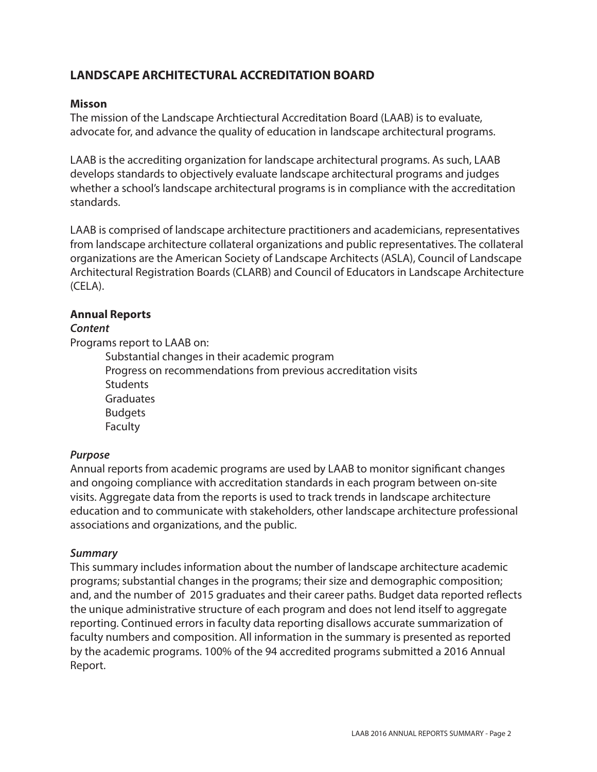# **LANDSCAPE ARCHITECTURAL ACCREDITATION BOARD**

#### **Misson**

The mission of the Landscape Archtiectural Accreditation Board (LAAB) is to evaluate, advocate for, and advance the quality of education in landscape architectural programs.

LAAB is the accrediting organization for landscape architectural programs. As such, LAAB develops standards to objectively evaluate landscape architectural programs and judges whether a school's landscape architectural programs is in compliance with the accreditation standards.

LAAB is comprised of landscape architecture practitioners and academicians, representatives from landscape architecture collateral organizations and public representatives. The collateral organizations are the American Society of Landscape Architects (ASLA), Council of Landscape Architectural Registration Boards (CLARB) and Council of Educators in Landscape Architecture (CELA).

#### **Annual Reports**

#### *Content*

Programs report to LAAB on:

Substantial changes in their academic program Progress on recommendations from previous accreditation visits **Students Graduates** Budgets Faculty

#### *Purpose*

Annual reports from academic programs are used by LAAB to monitor significant changes and ongoing compliance with accreditation standards in each program between on-site visits. Aggregate data from the reports is used to track trends in landscape architecture education and to communicate with stakeholders, other landscape architecture professional associations and organizations, and the public.

#### *Summary*

This summary includes information about the number of landscape architecture academic programs; substantial changes in the programs; their size and demographic composition; and, and the number of 2015 graduates and their career paths. Budget data reported reflects the unique administrative structure of each program and does not lend itself to aggregate reporting. Continued errors in faculty data reporting disallows accurate summarization of faculty numbers and composition. All information in the summary is presented as reported by the academic programs. 100% of the 94 accredited programs submitted a 2016 Annual Report.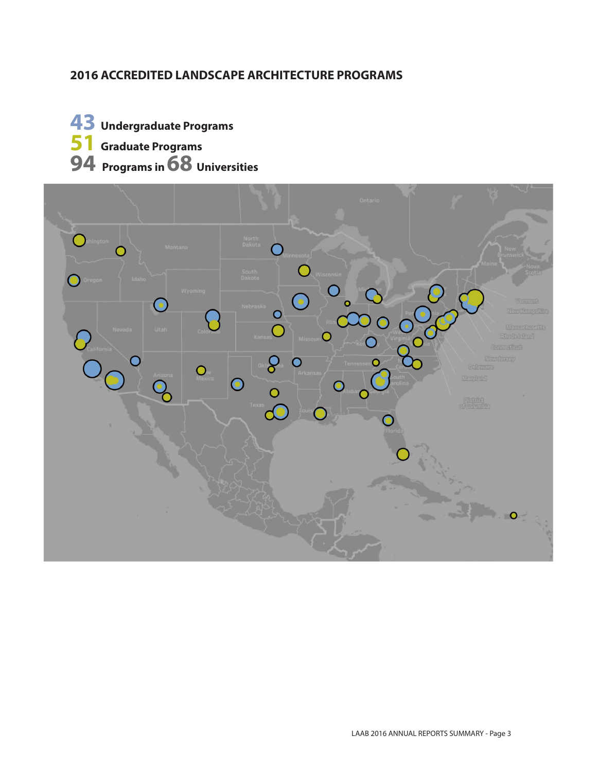# **2016 ACCREDITED LANDSCAPE ARCHITECTURE PROGRAMS**

**43 Undergraduate Programs 51 Graduate Programs 94 Programs in 68 Universities**

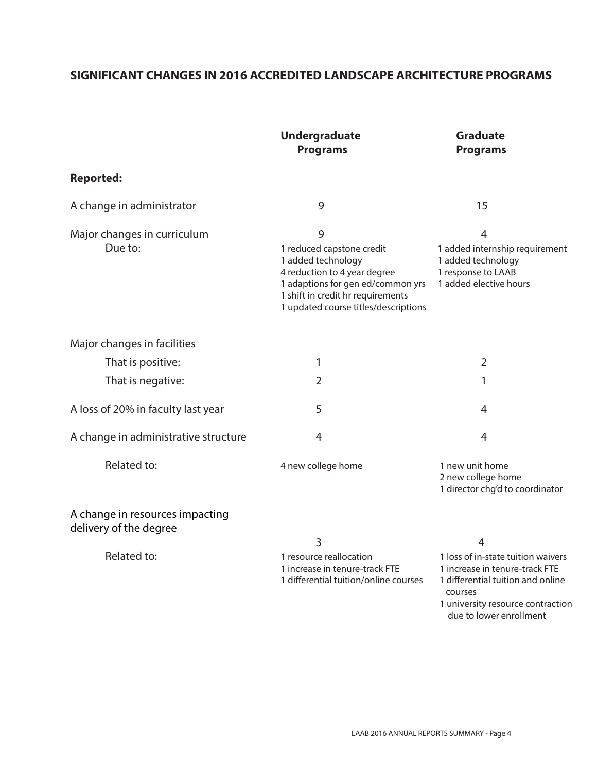# **SIGNIFICANT CHANGES IN 2016 ACCREDITED LANDSCAPE ARCHITECTURE PROGRAMS**

|                                                           | <b>Undergraduate</b><br><b>Programs</b>                                                                                                                                                                | <b>Graduate</b><br><b>Programs</b>                                                                                                                        |  |
|-----------------------------------------------------------|--------------------------------------------------------------------------------------------------------------------------------------------------------------------------------------------------------|-----------------------------------------------------------------------------------------------------------------------------------------------------------|--|
| <b>Reported:</b>                                          |                                                                                                                                                                                                        |                                                                                                                                                           |  |
| A change in administrator                                 | 9                                                                                                                                                                                                      | 15                                                                                                                                                        |  |
| Major changes in curriculum<br>Due to:                    | 9<br>1 reduced capstone credit<br>1 added technology<br>4 reduction to 4 year degree<br>1 adaptions for gen ed/common yrs<br>1 shift in credit hr requirements<br>1 updated course titles/descriptions | $\overline{4}$<br>1 added internship requirement<br>1 added technology<br>1 response to LAAB<br>1 added elective hours                                    |  |
| Major changes in facilities                               |                                                                                                                                                                                                        |                                                                                                                                                           |  |
| That is positive:                                         | 1                                                                                                                                                                                                      | 2                                                                                                                                                         |  |
| That is negative:                                         | $\overline{2}$                                                                                                                                                                                         | 1                                                                                                                                                         |  |
| A loss of 20% in faculty last year                        | 5                                                                                                                                                                                                      | 4                                                                                                                                                         |  |
| A change in administrative structure                      | 4                                                                                                                                                                                                      | $\overline{4}$                                                                                                                                            |  |
| Related to:                                               | 4 new college home                                                                                                                                                                                     | 1 new unit home<br>2 new college home<br>1 director chg'd to coordinator                                                                                  |  |
| A change in resources impacting<br>delivery of the degree |                                                                                                                                                                                                        |                                                                                                                                                           |  |
|                                                           | 3                                                                                                                                                                                                      | 4                                                                                                                                                         |  |
| Related to:                                               | 1 resource reallocation<br>1 increase in tenure-track FTE<br>1 differential tuition/online courses                                                                                                     | 1 loss of in-state tuition waivers<br>1 increase in tenure-track FTE<br>1 differential tuition and online<br>courses<br>1 university resource contraction |  |
|                                                           |                                                                                                                                                                                                        | due to lower enrollment                                                                                                                                   |  |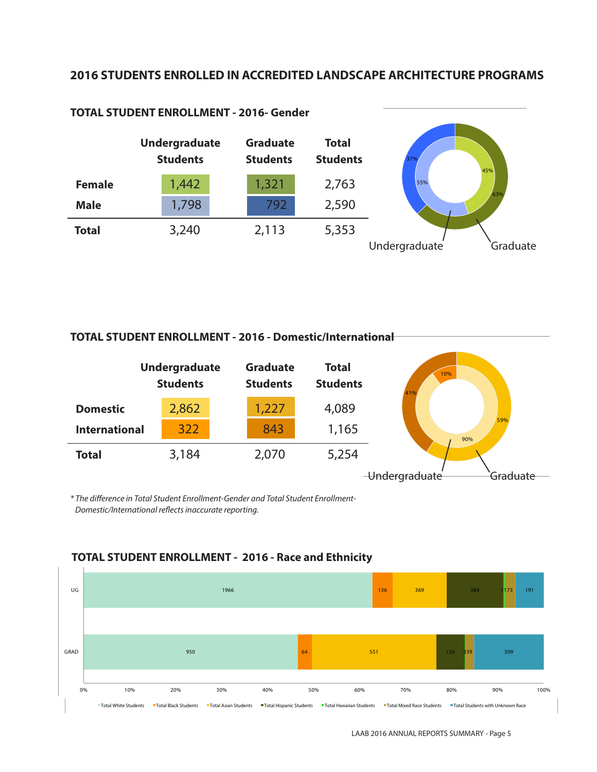#### **2016 STUDENTS ENROLLED IN ACCREDITED LANDSCAPE ARCHITECTURE PROGRAMS**



#### **TOTAL STUDENT ENROLLMENT - 2016- Gender**

**TOTAL STUDENT ENROLLMENT - 2016 - Domestic/International**

|                      | <b>Undergraduate</b><br><b>Students</b> | <b>Graduate</b><br><b>Students</b> | <b>Total</b><br><b>Students</b> | 10%<br>41%                       |
|----------------------|-----------------------------------------|------------------------------------|---------------------------------|----------------------------------|
| <b>Domestic</b>      | 2,862                                   | 1,227                              | 4,089                           |                                  |
| <b>International</b> | 322                                     | 843                                | 1,165                           | 59%<br>90%                       |
| <b>Total</b>         | 3,184                                   | 2,070                              | 5,254                           |                                  |
|                      |                                         |                                    |                                 | <b>Undergraduate</b><br>Graduate |

*\* The difference in Total Student Enrollment-Gender and Total Student Enrollment-Domestic/International reflects inaccurate reporting.* 



### **TOTAL STUDENT ENROLLMENT - 2016 - Race and Ethnicity**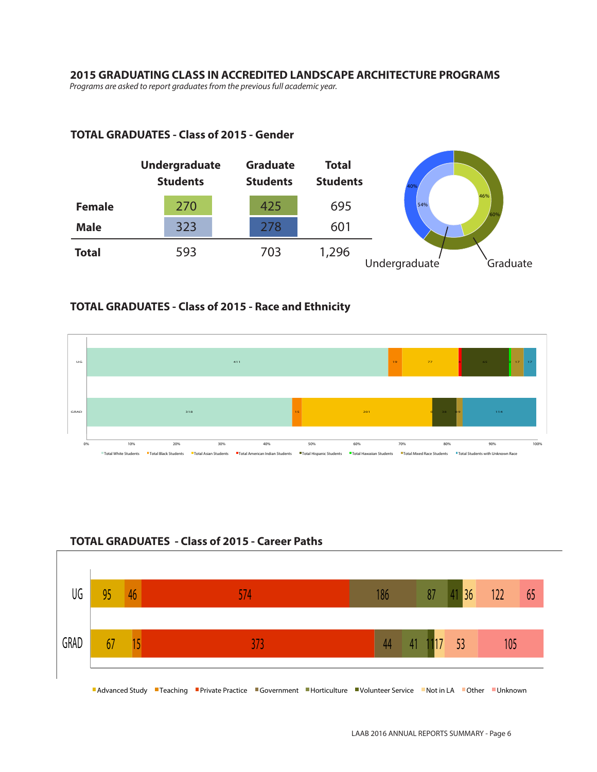#### **2015 GRADUATING CLASS IN ACCREDITED LANDSCAPE ARCHITECTURE PROGRAMS**

*Programs are asked to report graduates from the previous full academic year.* 

# **TOTAL GRADUATES - Class of 2015 - Gender**



#### **TOTAL GRADUATES - Class of 2015 - Race and Ethnicity**



#### **TOTAL GRADUATES - Class of 2015 - Career Paths**